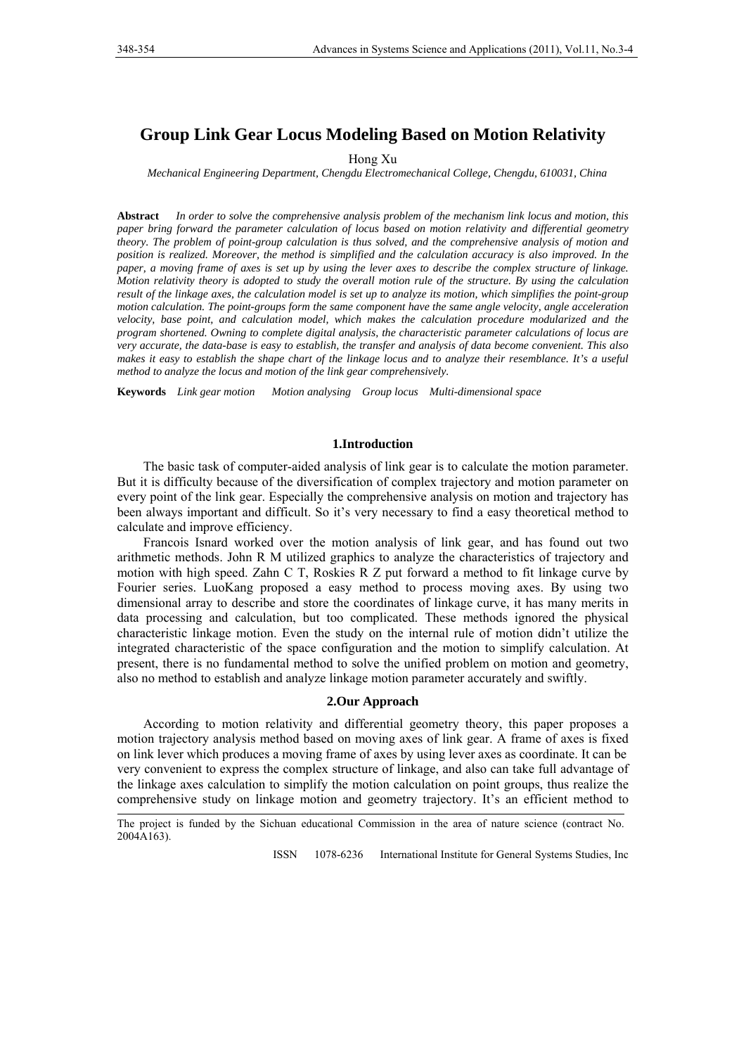# **Group Link Gear Locus Modeling Based on Motion Relativity**

Hong Xu

*Mechanical Engineering Department, Chengdu Electromechanical College, Chengdu, 610031, China* 

**Abstract** *In order to solve the comprehensive analysis problem of the mechanism link locus and motion, this paper bring forward the parameter calculation of locus based on motion relativity and differential geometry theory. The problem of point-group calculation is thus solved, and the comprehensive analysis of motion and position is realized. Moreover, the method is simplified and the calculation accuracy is also improved. In the paper, a moving frame of axes is set up by using the lever axes to describe the complex structure of linkage. Motion relativity theory is adopted to study the overall motion rule of the structure. By using the calculation result of the linkage axes, the calculation model is set up to analyze its motion, which simplifies the point-group motion calculation. The point-groups form the same component have the same angle velocity, angle acceleration velocity, base point, and calculation model, which makes the calculation procedure modularized and the program shortened. Owning to complete digital analysis, the characteristic parameter calculations of locus are very accurate, the data-base is easy to establish, the transfer and analysis of data become convenient. This also*  makes it easy to establish the shape chart of the linkage locus and to analyze their resemblance. It's a useful *method to analyze the locus and motion of the link gear comprehensively.*

**Keywords** *Link gear motion Motion analysing Group locus Multi-dimensional space*

## **1.Introduction**

The basic task of computer-aided analysis of link gear is to calculate the motion parameter. But it is difficulty because of the diversification of complex trajectory and motion parameter on every point of the link gear. Especially the comprehensive analysis on motion and trajectory has been always important and difficult. So it's very necessary to find a easy theoretical method to calculate and improve efficiency.

Francois Isnard worked over the motion analysis of link gear, and has found out two arithmetic methods. John R M utilized graphics to analyze the characteristics of trajectory and motion with high speed. Zahn C T, Roskies R Z put forward a method to fit linkage curve by Fourier series. LuoKang proposed a easy method to process moving axes. By using two dimensional array to describe and store the coordinates of linkage curve, it has many merits in data processing and calculation, but too complicated. These methods ignored the physical characteristic linkage motion. Even the study on the internal rule of motion didn't utilize the integrated characteristic of the space configuration and the motion to simplify calculation. At present, there is no fundamental method to solve the unified problem on motion and geometry, also no method to establish and analyze linkage motion parameter accurately and swiftly.

#### **2.Our Approach**

According to motion relativity and differential geometry theory, this paper proposes a motion trajectory analysis method based on moving axes of link gear. A frame of axes is fixed on link lever which produces a moving frame of axes by using lever axes as coordinate. It can be very convenient to express the complex structure of linkage, and also can take full advantage of the linkage axes calculation to simplify the motion calculation on point groups, thus realize the comprehensive study on linkage motion and geometry trajectory. It's an efficient method to

ISSN 1078-6236 International Institute for General Systems Studies, Inc

The project is funded by the Sichuan educational Commission in the area of nature science (contract No. 2004A163).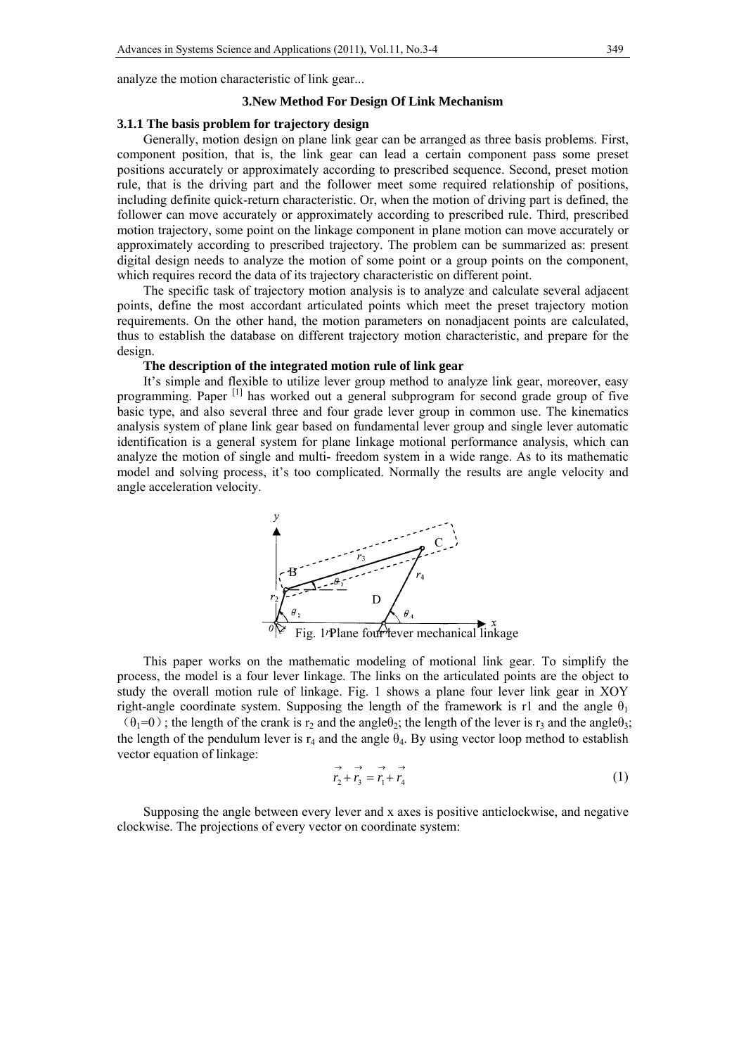analyze the motion characteristic of link gear...

## **3.New Method For Design Of Link Mechanism**

#### **3.1.1 The basis problem for trajectory design**

Generally, motion design on plane link gear can be arranged as three basis problems. First, component position, that is, the link gear can lead a certain component pass some preset positions accurately or approximately according to prescribed sequence. Second, preset motion rule, that is the driving part and the follower meet some required relationship of positions, including definite quick-return characteristic. Or, when the motion of driving part is defined, the follower can move accurately or approximately according to prescribed rule. Third, prescribed motion trajectory, some point on the linkage component in plane motion can move accurately or approximately according to prescribed trajectory. The problem can be summarized as: present digital design needs to analyze the motion of some point or a group points on the component, which requires record the data of its trajectory characteristic on different point.

The specific task of trajectory motion analysis is to analyze and calculate several adjacent points, define the most accordant articulated points which meet the preset trajectory motion requirements. On the other hand, the motion parameters on nonadjacent points are calculated, thus to establish the database on different trajectory motion characteristic, and prepare for the design.

#### **The description of the integrated motion rule of link gear**

It's simple and flexible to utilize lever group method to analyze link gear, moreover, easy programming. Paper <sup>[1]</sup> has worked out a general subprogram for second grade group of five basic type, and also several three and four grade lever group in common use. The kinematics analysis system of plane link gear based on fundamental lever group and single lever automatic identification is a general system for plane linkage motional performance analysis, which can analyze the motion of single and multi- freedom system in a wide range. As to its mathematic model and solving process, it's too complicated. Normally the results are angle velocity and angle acceleration velocity.



This paper works on the mathematic modeling of motional link gear. To simplify the process, the model is a four lever linkage. The links on the articulated points are the object to study the overall motion rule of linkage. Fig. 1 shows a plane four lever link gear in XOY right-angle coordinate system. Supposing the length of the framework is r1 and the angle  $\theta_1$  $(\theta_1=0)$ ; the length of the crank is r<sub>2</sub> and the angle $\theta_2$ ; the length of the lever is r<sub>3</sub> and the angle $\theta_3$ ; the length of the pendulum lever is  $r_4$  and the angle  $\theta_4$ . By using vector loop method to establish vector equation of linkage:

$$
\overrightarrow{r_2} + \overrightarrow{r_3} = \overrightarrow{r_1} + \overrightarrow{r_4} \tag{1}
$$

Supposing the angle between every lever and x axes is positive anticlockwise, and negative clockwise. The projections of every vector on coordinate system: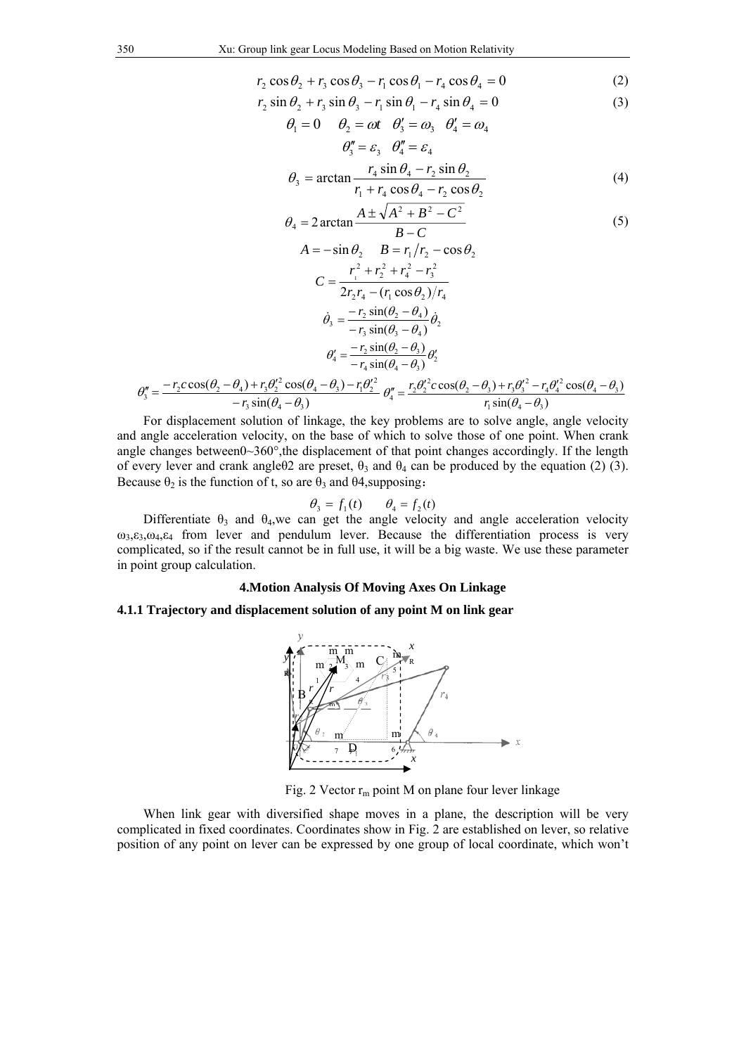$$
r_2 \cos \theta_2 + r_3 \cos \theta_3 - r_1 \cos \theta_1 - r_4 \cos \theta_4 = 0 \tag{2}
$$

$$
r_2 \sin \theta_2 + r_3 \sin \theta_3 - r_1 \sin \theta_1 - r_4 \sin \theta_4 = 0
$$
 (3)

$$
\theta_1 = 0 \qquad \theta_2 = \omega t \qquad \theta'_3 = \omega_3 \qquad \theta'_4 = \omega_4
$$

$$
\theta''_3 = \varepsilon_3 \qquad \theta''_4 = \varepsilon_4
$$

$$
r_4 \sin \theta_4 - r_5 \sin \theta_2
$$

$$
\theta_3 = \arctan \frac{r_4 \sin \theta_4 - r_2 \sin \theta_2}{r_1 + r_4 \cos \theta_4 - r_2 \cos \theta_2} \tag{4}
$$

$$
\theta_4 = 2 \arctan \frac{A \pm \sqrt{A^2 + B^2 - C^2}}{B - C}
$$
  
(5)  

$$
A = -\sin \theta_2 \qquad B = r_1/r_2 - \cos \theta_2
$$

$$
C = \frac{r_1^2 + r_2^2 + r_4^2 - r_3^2}{2r_2r_4 - (r_1\cos\theta_2)/r_4}
$$
  
\n
$$
\dot{\theta}_3 = \frac{-r_2\sin(\theta_2 - \theta_4)}{-r_3\sin(\theta_3 - \theta_4)}\dot{\theta}_2
$$
  
\n
$$
\theta'_4 = \frac{-r_2\sin(\theta_2 - \theta_3)}{-r_4\sin(\theta_4 - \theta_3)}\theta'_2
$$
  
\n
$$
\theta''_3 = \frac{-r_2\cos(\theta_2 - \theta_4) + r_3\theta_2'^2\cos(\theta_4 - \theta_3) - r_1\theta_2'^2}{-r_3\sin(\theta_4 - \theta_3)}\theta''_4 = \frac{r_2\theta_2'^2c\cos(\theta_2 - \theta_3) + r_3\theta_3'^2 - r_4\theta_4'^2\cos(\theta_4 - \theta_3)}{r_1\sin(\theta_4 - \theta_3)}
$$

For displacement solution of linkage, the key problems are to solve angle, angle velocity and angle acceleration velocity, on the base of which to solve those of one point. When crank angle changes between $0\sim360^{\circ}$ , the displacement of that point changes accordingly. If the length of every lever and crank angleθ2 are preset,  $θ_3$  and  $θ_4$  can be produced by the equation (2) (3). Because  $\theta_2$  is the function of t, so are  $\theta_3$  and  $\theta_4$ , supposing:

$$
\theta_3 = f_1(t) \qquad \theta_4 = f_2(t)
$$

Differentiate  $\theta_3$  and  $\theta_4$ , we can get the angle velocity and angle acceleration velocity  $\omega_3$ , $\varepsilon_3$ , $\omega_4$ , $\varepsilon_4$  from lever and pendulum lever. Because the differentiation process is very complicated, so if the result cannot be in full use, it will be a big waste. We use these parameter in point group calculation.

# **4.Motion Analysis Of Moving Axes On Linkage**

## **4.1.1 Trajectory and displacement solution of any point M on link gear**



Fig. 2 Vector  $r_m$  point M on plane four lever linkage

When link gear with diversified shape moves in a plane, the description will be very complicated in fixed coordinates. Coordinates show in Fig. 2 are established on lever, so relative position of any point on lever can be expressed by one group of local coordinate, which won't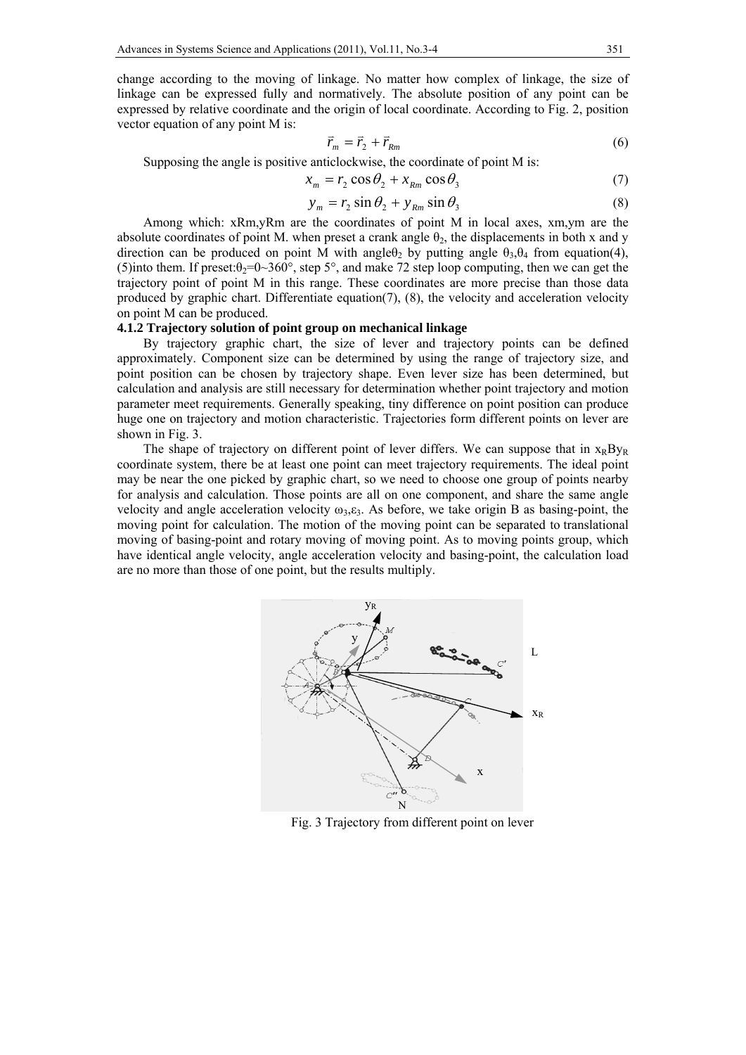change according to the moving of linkage. No matter how complex of linkage, the size of linkage can be expressed fully and normatively. The absolute position of any point can be expressed by relative coordinate and the origin of local coordinate. According to Fig. 2, position vector equation of any point M is:

$$
\vec{r}_m = \vec{r}_2 + \vec{r}_{Rm} \tag{6}
$$

Supposing the angle is positive anticlockwise, the coordinate of point M is:

$$
x_m = r_2 \cos \theta_2 + x_{Rm} \cos \theta_3 \tag{7}
$$

$$
y_m = r_2 \sin \theta_2 + y_{Rm} \sin \theta_3 \tag{8}
$$

 Among which: xRm,yRm are the coordinates of point M in local axes, xm,ym are the absolute coordinates of point M. when preset a crank angle  $\theta_2$ , the displacements in both x and y direction can be produced on point M with angle $\theta_2$  by putting angle  $\theta_3$ , $\theta_4$  from equation(4), (5)into them. If preset: $\theta_2 = 0.360^\circ$ , step 5°, and make 72 step loop computing, then we can get the trajectory point of point M in this range. These coordinates are more precise than those data produced by graphic chart. Differentiate equation(7), (8), the velocity and acceleration velocity on point M can be produced.

# **4.1.2 Trajectory solution of point group on mechanical linkage**

By trajectory graphic chart, the size of lever and trajectory points can be defined approximately. Component size can be determined by using the range of trajectory size, and point position can be chosen by trajectory shape. Even lever size has been determined, but calculation and analysis are still necessary for determination whether point trajectory and motion parameter meet requirements. Generally speaking, tiny difference on point position can produce huge one on trajectory and motion characteristic. Trajectories form different points on lever are shown in Fig. 3.

The shape of trajectory on different point of lever differs. We can suppose that in  $x_RBy_R$ coordinate system, there be at least one point can meet trajectory requirements. The ideal point may be near the one picked by graphic chart, so we need to choose one group of points nearby for analysis and calculation. Those points are all on one component, and share the same angle velocity and angle acceleration velocity  $\omega_3$ ,  $\varepsilon_3$ . As before, we take origin B as basing-point, the moving point for calculation. The motion of the moving point can be separated to translational moving of basing-point and rotary moving of moving point. As to moving points group, which have identical angle velocity, angle acceleration velocity and basing-point, the calculation load are no more than those of one point, but the results multiply.



Fig. 3 Trajectory from different point on lever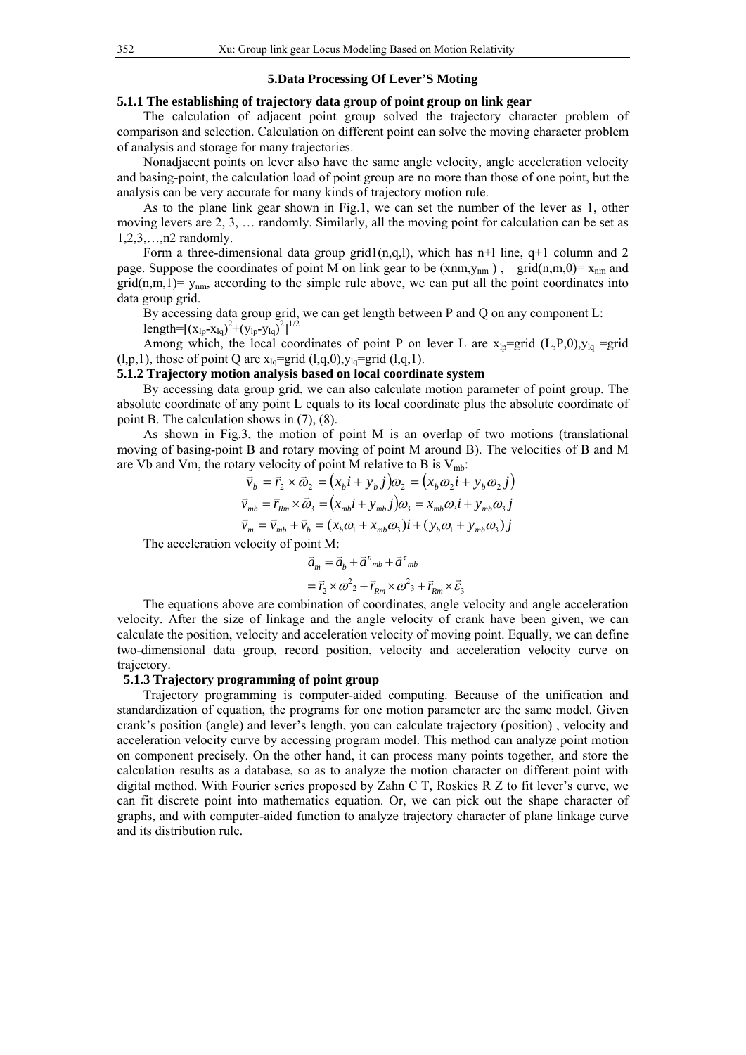#### **5.Data Processing Of Lever'S Moting**

## **5.1.1 The establishing of trajectory data group of point group on link gear**

The calculation of adjacent point group solved the trajectory character problem of comparison and selection. Calculation on different point can solve the moving character problem of analysis and storage for many trajectories.

Nonadjacent points on lever also have the same angle velocity, angle acceleration velocity and basing-point, the calculation load of point group are no more than those of one point, but the analysis can be very accurate for many kinds of trajectory motion rule.

As to the plane link gear shown in Fig.1, we can set the number of the lever as 1, other moving levers are 2, 3, … randomly. Similarly, all the moving point for calculation can be set as 1,2,3,…,n2 randomly.

Form a three-dimensional data group grid $1(n,q,1)$ , which has n+1 line, q+1 column and 2 page. Suppose the coordinates of point M on link gear to be  $(xnm,y_{nm})$ , grid $(n,m,0)=x_{nm}$  and  $\text{grid}(n,m,1) = y_{nm}$ , according to the simple rule above, we can put all the point coordinates into data group grid.

By accessing data group grid, we can get length between P and Q on any component L: length= $[(x_{lp}-x_{lq})^2+(y_{lp}-y_{lq})^2]^{1/2}$ 

Among which, the local coordinates of point P on lever L are  $x_{\text{lo}} = \text{grid}$  (L,P,0), $y_{\text{lo}} = \text{grid}$  $(l,p,1)$ , those of point Q are  $x_{lq}$ =grid  $(l,q,0)$ ,  $y_{lq}$ =grid  $(l,q,1)$ .

#### **5.1.2 Trajectory motion analysis based on local coordinate system**

By accessing data group grid, we can also calculate motion parameter of point group. The absolute coordinate of any point L equals to its local coordinate plus the absolute coordinate of point B. The calculation shows in (7), (8).

As shown in Fig.3, the motion of point M is an overlap of two motions (translational moving of basing-point B and rotary moving of point M around B). The velocities of B and M are Vb and Vm, the rotary velocity of point M relative to B is  $V_{\text{mb}}$ :

$$
\vec{v}_b = \vec{r}_2 \times \vec{\omega}_2 = (x_b i + y_b j)\omega_2 = (x_b \omega_2 i + y_b \omega_2 j)
$$
  

$$
\vec{v}_{mb} = \vec{r}_{Rm} \times \vec{\omega}_3 = (x_{mb} i + y_{mb} j)\omega_3 = x_{mb} \omega_3 i + y_{mb} \omega_3 j
$$
  

$$
\vec{v}_m = \vec{v}_{mb} + \vec{v}_b = (x_b \omega_1 + x_{mb} \omega_3) i + (y_b \omega_1 + y_{mb} \omega_3) j
$$

The acceleration velocity of point M:

$$
\vec{a}_m = \vec{a}_b + \vec{a}^n{}_{mb} + \vec{a}^r{}_{mb}
$$

$$
= \vec{r}_2 \times \omega^2{}_2 + \vec{r}_{Rm} \times \omega^2{}_3 + \vec{r}_{Rm} \times \vec{\varepsilon}_3
$$

The equations above are combination of coordinates, angle velocity and angle acceleration velocity. After the size of linkage and the angle velocity of crank have been given, we can calculate the position, velocity and acceleration velocity of moving point. Equally, we can define two-dimensional data group, record position, velocity and acceleration velocity curve on trajectory.

## **5.1.3 Trajectory programming of point group**

Trajectory programming is computer-aided computing. Because of the unification and standardization of equation, the programs for one motion parameter are the same model. Given crank's position (angle) and lever's length, you can calculate trajectory (position) , velocity and acceleration velocity curve by accessing program model. This method can analyze point motion on component precisely. On the other hand, it can process many points together, and store the calculation results as a database, so as to analyze the motion character on different point with digital method. With Fourier series proposed by Zahn C T, Roskies R Z to fit lever's curve, we can fit discrete point into mathematics equation. Or, we can pick out the shape character of graphs, and with computer-aided function to analyze trajectory character of plane linkage curve and its distribution rule.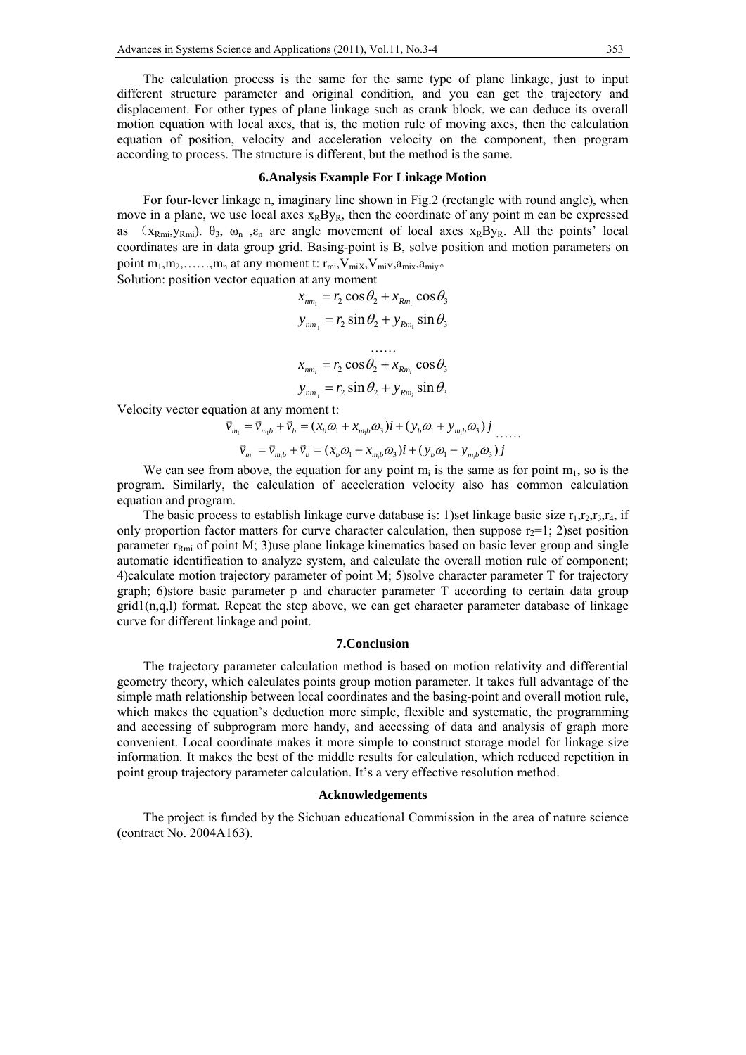The calculation process is the same for the same type of plane linkage, just to input different structure parameter and original condition, and you can get the trajectory and displacement. For other types of plane linkage such as crank block, we can deduce its overall motion equation with local axes, that is, the motion rule of moving axes, then the calculation equation of position, velocity and acceleration velocity on the component, then program according to process. The structure is different, but the method is the same.

# **6.Analysis Example For Linkage Motion**

For four-lever linkage n, imaginary line shown in Fig.2 (rectangle with round angle), when move in a plane, we use local axes  $x_RBy_R$ , then the coordinate of any point m can be expressed as ( $x_{Rmi}$ ,  $y_{Rmi}$ ).  $\theta_3$ ,  $\omega_n$ ,  $\varepsilon_n$  are angle movement of local axes  $x_RBy_R$ . All the points' local coordinates are in data group grid. Basing-point is B, solve position and motion parameters on point  $m_1, m_2, \ldots, m_n$  at any moment t:  $r_{mi}$ ,  $V_{miX}$ ,  $V_{miY}$ ,  $a_{miX}$ ,  $a_{miY}$ . Solution: position vector equation at any moment

$$
x_{nm_1} = r_2 \cos \theta_2 + x_{Rm_1} \cos \theta_3
$$
  
\n
$$
y_{nm_1} = r_2 \sin \theta_2 + y_{Rm_1} \sin \theta_3
$$
  
\n
$$
...
$$
  
\n
$$
x_{nm_i} = r_2 \cos \theta_2 + x_{Rm_i} \cos \theta_3
$$
  
\n
$$
y_{nm_i} = r_2 \sin \theta_2 + y_{Rm_i} \sin \theta_3
$$

Velocity vector equation at any moment t:

$$
\vec{v}_{m_1} = \vec{v}_{m_1b} + \vec{v}_b = (x_b \omega_1 + x_{m_1b} \omega_3) \vec{i} + (y_b \omega_1 + y_{m_1b} \omega_3) \vec{j} \dots
$$
  

$$
\vec{v}_{m_i} = \vec{v}_{m_ib} + \vec{v}_b = (x_b \omega_1 + x_{m_ib} \omega_3) \vec{i} + (y_b \omega_1 + y_{m_ib} \omega_3) \vec{j}
$$

We can see from above, the equation for any point 
$$
m_i
$$
 is the same as for point  $m_1$ , so is the program. Similarly, the calculation of acceleration velocity also has common calculation equation and program.

The basic process to establish linkage curve database is: 1)set linkage basic size  $r_1, r_2, r_3, r_4$ , if only proportion factor matters for curve character calculation, then suppose  $r_2=1$ ; 2)set position parameter  $r_{Rmi}$  of point M; 3)use plane linkage kinematics based on basic lever group and single automatic identification to analyze system, and calculate the overall motion rule of component; 4)calculate motion trajectory parameter of point M; 5)solve character parameter T for trajectory graph; 6)store basic parameter p and character parameter T according to certain data group  $grid(n,q,l)$  format. Repeat the step above, we can get character parameter database of linkage curve for different linkage and point.

## **7.Conclusion**

The trajectory parameter calculation method is based on motion relativity and differential geometry theory, which calculates points group motion parameter. It takes full advantage of the simple math relationship between local coordinates and the basing-point and overall motion rule, which makes the equation's deduction more simple, flexible and systematic, the programming and accessing of subprogram more handy, and accessing of data and analysis of graph more convenient. Local coordinate makes it more simple to construct storage model for linkage size information. It makes the best of the middle results for calculation, which reduced repetition in point group trajectory parameter calculation. It's a very effective resolution method.

#### **Acknowledgements**

The project is funded by the Sichuan educational Commission in the area of nature science (contract No. 2004A163).